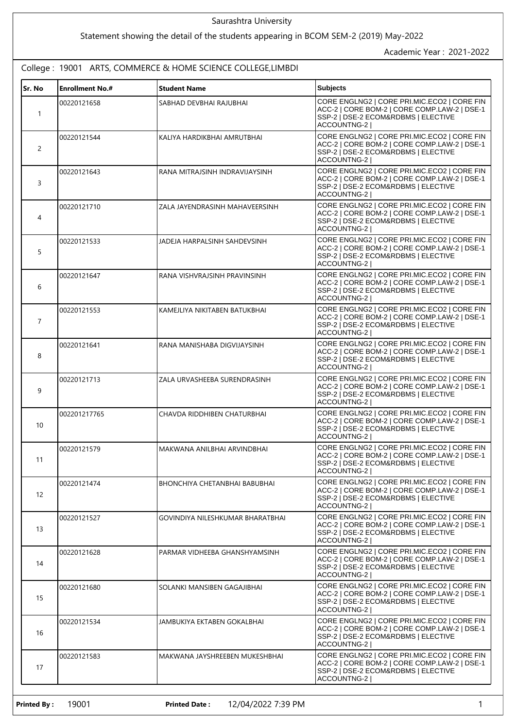## Saurashtra University

## Statement showing the detail of the students appearing in BCOM SEM-2 (2019) May-2022

Academic Year : 2021-2022

College : 19001 ARTS, COMMERCE & HOME SCIENCE COLLEGE,LIMBDI

| Sr. No         | <b>Enrollment No.#</b> | <b>Student Name</b>              | <b>Subjects</b>                                                                                                                                     |
|----------------|------------------------|----------------------------------|-----------------------------------------------------------------------------------------------------------------------------------------------------|
| $\mathbf{1}$   | 00220121658            | SABHAD DEVBHAI RAJUBHAI          | CORE ENGLNG2   CORE PRI.MIC.ECO2   CORE FIN<br>ACC-2   CORE BOM-2   CORE COMP.LAW-2   DSE-1<br>SSP-2   DSE-2 ECOM&RDBMS   ELECTIVE<br>ACCOUNTNG-2   |
| 2              | 00220121544            | KALIYA HARDIKBHAI AMRUTBHAI      | CORE ENGLNG2   CORE PRI.MIC.ECO2   CORE FIN<br>ACC-2   CORE BOM-2   CORE COMP.LAW-2   DSE-1<br>SSP-2   DSE-2 ECOM&RDBMS   ELECTIVE<br>ACCOUNTNG-2   |
| 3              | 00220121643            | RANA MITRAJSINH INDRAVIJAYSINH   | CORE ENGLNG2   CORE PRI.MIC.ECO2   CORE FIN<br>ACC-2   CORE BOM-2   CORE COMP.LAW-2   DSE-1<br>SSP-2   DSE-2 ECOM&RDBMS   ELECTIVE<br>ACCOUNTNG-2 I |
| 4              | 00220121710            | ZALA JAYENDRASINH MAHAVEERSINH   | CORE ENGLNG2   CORE PRI.MIC.ECO2   CORE FIN<br>ACC-2   CORE BOM-2   CORE COMP.LAW-2   DSE-1<br>SSP-2   DSE-2 ECOM&RDBMS   ELECTIVE<br>ACCOUNTNG-2   |
| 5              | 00220121533            | JADEJA HARPALSINH SAHDEVSINH     | CORE ENGLNG2   CORE PRI.MIC.ECO2   CORE FIN<br>ACC-2   CORE BOM-2   CORE COMP.LAW-2   DSE-1<br>SSP-2   DSE-2 ECOM&RDBMS   ELECTIVE<br>ACCOUNTNG-2   |
| 6              | 00220121647            | RANA VISHVRAJSINH PRAVINSINH     | CORE ENGLNG2   CORE PRI.MIC.ECO2   CORE FIN<br>ACC-2   CORE BOM-2   CORE COMP.LAW-2   DSE-1<br>SSP-2   DSE-2 ECOM&RDBMS   ELECTIVE<br>ACCOUNTNG-2   |
| $\overline{7}$ | 00220121553            | KAMEJLIYA NIKITABEN BATUKBHAI    | CORE ENGLNG2   CORE PRI.MIC.ECO2   CORE FIN<br>ACC-2   CORE BOM-2   CORE COMP.LAW-2   DSE-1<br>SSP-2   DSE-2 ECOM&RDBMS   ELECTIVE<br>ACCOUNTNG-2   |
| 8              | 00220121641            | RANA MANISHABA DIGVIJAYSINH      | CORE ENGLNG2   CORE PRI.MIC.ECO2   CORE FIN<br>ACC-2   CORE BOM-2   CORE COMP.LAW-2   DSE-1<br>SSP-2   DSE-2 ECOM&RDBMS   ELECTIVE<br>ACCOUNTNG-2   |
| 9              | 00220121713            | ZALA URVASHEEBA SURENDRASINH     | CORE ENGLNG2   CORE PRI.MIC.ECO2   CORE FIN<br>ACC-2   CORE BOM-2   CORE COMP.LAW-2   DSE-1<br>SSP-2   DSE-2 ECOM&RDBMS   ELECTIVE<br>ACCOUNTNG-2   |
| 10             | 002201217765           | CHAVDA RIDDHIBEN CHATURBHAI      | CORE ENGLNG2   CORE PRI.MIC.ECO2   CORE FIN<br>ACC-2   CORE BOM-2   CORE COMP.LAW-2   DSE-1<br>SSP-2   DSE-2 ECOM&RDBMS   ELECTIVE<br>ACCOUNTNG-2   |
| 11             | 00220121579            | MAKWANA ANILBHAI ARVINDBHAI      | CORE ENGLNG2   CORE PRI.MIC.ECO2   CORE FIN<br>ACC-2   CORE BOM-2   CORE COMP.LAW-2   DSE-1<br>SSP-2   DSE-2 ECOM&RDBMS   ELECTIVE<br>ACCOUNTNG-2   |
| 12             | 00220121474            | BHONCHIYA CHETANBHAI BABUBHAI    | CORE ENGLNG2   CORE PRI.MIC.ECO2   CORE FIN<br>ACC-2   CORE BOM-2   CORE COMP.LAW-2   DSE-1<br>SSP-2   DSE-2 ECOM&RDBMS   ELECTIVE<br>ACCOUNTNG-2   |
| 13             | 00220121527            | GOVINDIYA NILESHKUMAR BHARATBHAI | CORE ENGLNG2   CORE PRI.MIC.ECO2   CORE FIN<br>ACC-2   CORE BOM-2   CORE COMP.LAW-2   DSE-1<br>SSP-2   DSE-2 ECOM&RDBMS   ELECTIVE<br>ACCOUNTNG-2 I |
| 14             | 00220121628            | PARMAR VIDHEEBA GHANSHYAMSINH    | CORE ENGLNG2   CORE PRI.MIC.ECO2   CORE FIN<br>ACC-2   CORE BOM-2   CORE COMP.LAW-2   DSE-1<br>SSP-2   DSE-2 ECOM&RDBMS   ELECTIVE<br>ACCOUNTNG-2   |
| 15             | 00220121680            | SOLANKI MANSIBEN GAGAJIBHAI      | CORE ENGLNG2   CORE PRI.MIC.ECO2   CORE FIN<br>ACC-2   CORE BOM-2   CORE COMP.LAW-2   DSE-1<br>SSP-2   DSE-2 ECOM&RDBMS   ELECTIVE<br>ACCOUNTNG-2   |
| 16             | 00220121534            | JAMBUKIYA EKTABEN GOKALBHAI      | CORE ENGLNG2   CORE PRI.MIC.ECO2   CORE FIN<br>ACC-2   CORE BOM-2   CORE COMP.LAW-2   DSE-1<br>SSP-2   DSE-2 ECOM&RDBMS   ELECTIVE<br>ACCOUNTNG-2   |
| 17             | 00220121583            | MAKWANA JAYSHREEBEN MUKESHBHAI   | CORE ENGLNG2   CORE PRI.MIC.ECO2   CORE FIN<br>ACC-2   CORE BOM-2   CORE COMP.LAW-2   DSE-1<br>SSP-2   DSE-2 ECOM&RDBMS   ELECTIVE<br>ACCOUNTNG-2   |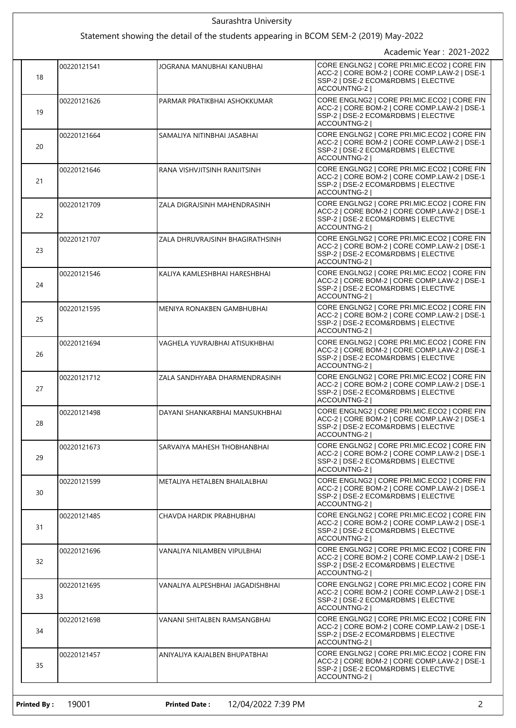|    |             | Saurashtra University<br>Statement showing the detail of the students appearing in BCOM SEM-2 (2019) May-2022 |                                                                                                                                                   |
|----|-------------|---------------------------------------------------------------------------------------------------------------|---------------------------------------------------------------------------------------------------------------------------------------------------|
|    |             |                                                                                                               | Academic Year: 2021-2022                                                                                                                          |
| 18 | 00220121541 | JOGRANA MANUBHAI KANUBHAI                                                                                     | CORE ENGLNG2   CORE PRI.MIC.ECO2   CORE FIN<br>ACC-2   CORE BOM-2   CORE COMP.LAW-2   DSE-1<br>SSP-2   DSE-2 ECOM&RDBMS   ELECTIVE<br>ACCOUNTNG-2 |
| 19 | 00220121626 | PARMAR PRATIKBHAI ASHOKKUMAR                                                                                  | CORE ENGLNG2   CORE PRI.MIC.ECO2   CORE FIN<br>ACC-2   CORE BOM-2   CORE COMP.LAW-2   DSE-1<br>SSP-2   DSE-2 ECOM&RDBMS   ELECTIVE<br>ACCOUNTNG-2 |
| 20 | 00220121664 | SAMALIYA NITINBHAI JASABHAI                                                                                   | CORE ENGLNG2   CORE PRI.MIC.ECO2   CORE FIN<br>ACC-2   CORE BOM-2   CORE COMP.LAW-2   DSE-1<br>SSP-2   DSE-2 ECOM&RDBMS   ELECTIVE<br>ACCOUNTNG-2 |
| 21 | 00220121646 | RANA VISHVJITSINH RANJITSINH                                                                                  | CORE ENGLNG2   CORE PRI.MIC.ECO2   CORE FIN<br>ACC-2   CORE BOM-2   CORE COMP.LAW-2   DSE-1<br>SSP-2   DSE-2 ECOM&RDBMS   ELECTIVE<br>ACCOUNTNG-2 |
| 22 | 00220121709 | ZALA DIGRAJSINH MAHENDRASINH                                                                                  | CORE ENGLNG2   CORE PRI.MIC.ECO2   CORE FIN<br>ACC-2   CORE BOM-2   CORE COMP.LAW-2   DSE-1<br>SSP-2   DSE-2 ECOM&RDBMS   ELECTIVE<br>ACCOUNTNG-2 |
| 23 | 00220121707 | ZALA DHRUVRAJSINH BHAGIRATHSINH                                                                               | CORE ENGLNG2   CORE PRI.MIC.ECO2   CORE FIN<br>ACC-2   CORE BOM-2   CORE COMP.LAW-2   DSE-1<br>SSP-2   DSE-2 ECOM&RDBMS   ELECTIVE<br>ACCOUNTNG-2 |
| 24 | 00220121546 | KALIYA KAMLESHBHAI HARESHBHAI                                                                                 | CORE ENGLNG2   CORE PRI.MIC.ECO2   CORE FIN<br>ACC-2   CORE BOM-2   CORE COMP.LAW-2   DSE-1<br>SSP-2   DSE-2 ECOM&RDBMS   ELECTIVE<br>ACCOUNTNG-2 |
| 25 | 00220121595 | MENIYA RONAKBEN GAMBHUBHAI                                                                                    | CORE ENGLNG2   CORE PRI.MIC.ECO2   CORE FIN<br>ACC-2   CORE BOM-2   CORE COMP.LAW-2   DSE-1<br>SSP-2   DSE-2 ECOM&RDBMS   ELECTIVE<br>ACCOUNTNG-2 |
| 26 | 00220121694 | VAGHELA YUVRAJBHAI ATISUKHBHAI                                                                                | CORE ENGLNG2   CORE PRI.MIC.ECO2   CORE FIN<br>ACC-2   CORE BOM-2   CORE COMP.LAW-2   DSE-1<br>SSP-2   DSE-2 ECOM&RDBMS   ELECTIVE<br>ACCOUNTNG-2 |
| 27 | 00220121712 | ZALA SANDHYABA DHARMENDRASINH                                                                                 | CORE ENGLNG2   CORE PRI.MIC.ECO2   CORE FIN<br>ACC-2   CORE BOM-2   CORE COMP.LAW-2   DSE-1<br>SSP-2   DSE-2 ECOM&RDBMS   ELECTIVE<br>ACCOUNTNG-2 |
| 28 | 00220121498 | DAYANI SHANKARBHAI MANSUKHBHAI                                                                                | CORE ENGLNG2   CORE PRI.MIC.ECO2   CORE FIN<br>ACC-2   CORE BOM-2   CORE COMP.LAW-2   DSE-1<br>SSP-2   DSE-2 ECOM&RDBMS   ELECTIVE<br>ACCOUNTNG-2 |
| 29 | 00220121673 | SARVAIYA MAHESH THOBHANBHAI                                                                                   | CORE ENGLNG2   CORE PRI.MIC.ECO2   CORE FIN<br>ACC-2   CORE BOM-2   CORE COMP.LAW-2   DSE-1<br>SSP-2   DSE-2 ECOM&RDBMS   ELECTIVE<br>ACCOUNTNG-2 |
| 30 | 00220121599 | METALIYA HETALBEN BHAILALBHAI                                                                                 | CORE ENGLNG2   CORE PRI.MIC.ECO2   CORE FIN<br>ACC-2   CORE BOM-2   CORE COMP.LAW-2   DSE-1<br>SSP-2   DSE-2 ECOM&RDBMS   ELECTIVE<br>ACCOUNTNG-2 |
| 31 | 00220121485 | CHAVDA HARDIK PRABHUBHAI                                                                                      | CORE ENGLNG2   CORE PRI.MIC.ECO2   CORE FIN<br>ACC-2   CORE BOM-2   CORE COMP.LAW-2   DSE-1<br>SSP-2   DSE-2 ECOM&RDBMS   ELECTIVE<br>ACCOUNTNG-2 |
| 32 | 00220121696 | VANALIYA NILAMBEN VIPULBHAI                                                                                   | CORE ENGLNG2   CORE PRI.MIC.ECO2   CORE FIN<br>ACC-2   CORE BOM-2   CORE COMP.LAW-2   DSE-1<br>SSP-2   DSE-2 ECOM&RDBMS   ELECTIVE<br>ACCOUNTNG-2 |
| 33 | 00220121695 | VANALIYA ALPESHBHAI JAGADISHBHAI                                                                              | CORE ENGLNG2   CORE PRI.MIC.ECO2   CORE FIN<br>ACC-2   CORE BOM-2   CORE COMP.LAW-2   DSE-1<br>SSP-2   DSE-2 ECOM&RDBMS   ELECTIVE<br>ACCOUNTNG-2 |
| 34 | 00220121698 | VANANI SHITALBEN RAMSANGBHAI                                                                                  | CORE ENGLNG2   CORE PRI.MIC.ECO2   CORE FIN<br>ACC-2   CORE BOM-2   CORE COMP.LAW-2   DSE-1<br>SSP-2   DSE-2 ECOM&RDBMS   ELECTIVE<br>ACCOUNTNG-2 |
| 35 | 00220121457 | ANIYALIYA KAJALBEN BHUPATBHAI                                                                                 | CORE ENGLNG2   CORE PRI.MIC.ECO2   CORE FIN<br>ACC-2   CORE BOM-2   CORE COMP.LAW-2   DSE-1<br>SSP-2   DSE-2 ECOM&RDBMS   ELECTIVE<br>ACCOUNTNG-2 |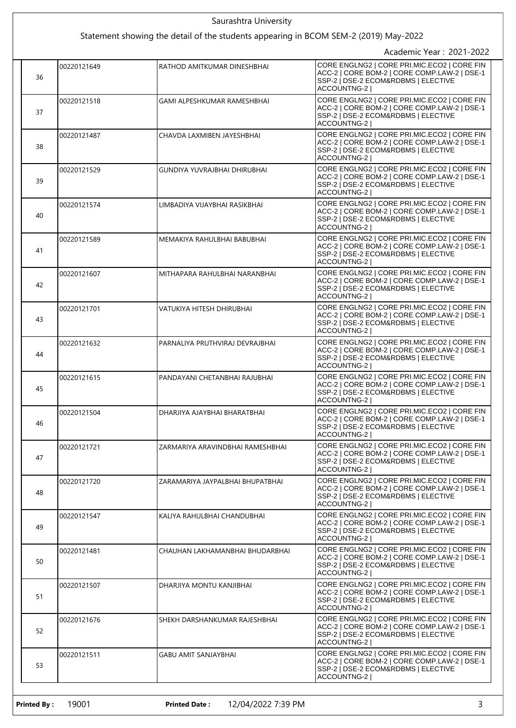|    |             | Saurashtra University<br>Statement showing the detail of the students appearing in BCOM SEM-2 (2019) May-2022 |                                                                                                                                                    |
|----|-------------|---------------------------------------------------------------------------------------------------------------|----------------------------------------------------------------------------------------------------------------------------------------------------|
|    |             |                                                                                                               | Academic Year: 2021-2022                                                                                                                           |
| 36 | 00220121649 | RATHOD AMITKUMAR DINESHBHAI                                                                                   | CORE ENGLNG2   CORE PRI.MIC.ECO2   CORE FIN<br>ACC-2   CORE BOM-2   CORE COMP.LAW-2   DSE-1<br>SSP-2   DSE-2 ECOM&RDBMS   ELECTIVE<br>ACCOUNTNG-2  |
| 37 | 00220121518 | GAMI ALPESHKUMAR RAMESHBHAI                                                                                   | CORE ENGLNG2   CORE PRI.MIC.ECO2   CORE FIN<br>ACC-2   CORE BOM-2   CORE COMP.LAW-2   DSE-1<br>SSP-2   DSE-2 ECOM&RDBMS   ELECTIVE<br>ACCOUNTNG-2  |
| 38 | 00220121487 | CHAVDA LAXMIBEN JAYESHBHAI                                                                                    | CORE ENGLNG2   CORE PRI.MIC.ECO2   CORE FIN<br>ACC-2   CORE BOM-2   CORE COMP.LAW-2   DSE-1<br>SSP-2   DSE-2 ECOM&RDBMS   ELECTIVE<br>ACCOUNTNG-2  |
| 39 | 00220121529 | GUNDIYA YUVRAJBHAI DHIRUBHAI                                                                                  | CORE ENGLNG2   CORE PRI.MIC.ECO2   CORE FIN<br>ACC-2   CORE BOM-2   CORE COMP.LAW-2   DSE-1<br>SSP-2   DSE-2 ECOM&RDBMS   ELECTIVE<br>ACCOUNTNG-2  |
| 40 | 00220121574 | LIMBADIYA VIJAYBHAI RASIKBHAI                                                                                 | CORE ENGLNG2   CORE PRI.MIC.ECO2   CORE FIN<br>ACC-2   CORE BOM-2   CORE COMP.LAW-2   DSE-1<br>SSP-2   DSE-2 ECOM&RDBMS   ELECTIVE<br>ACCOUNTNG-21 |
| 41 | 00220121589 | MEMAKIYA RAHULBHAI BABUBHAI                                                                                   | CORE ENGLNG2   CORE PRI.MIC.ECO2   CORE FIN<br>ACC-2   CORE BOM-2   CORE COMP.LAW-2   DSE-1<br>SSP-2   DSE-2 ECOM&RDBMS   ELECTIVE<br>ACCOUNTNG-2  |
| 42 | 00220121607 | MITHAPARA RAHULBHAI NARANBHAI                                                                                 | CORE ENGLNG2   CORE PRI.MIC.ECO2   CORE FIN<br>ACC-2   CORE BOM-2   CORE COMP.LAW-2   DSE-1<br>SSP-2   DSE-2 ECOM&RDBMS   ELECTIVE<br>ACCOUNTNG-2  |
| 43 | 00220121701 | VATUKIYA HITESH DHIRUBHAI                                                                                     | CORE ENGLNG2   CORE PRI.MIC.ECO2   CORE FIN<br>ACC-2   CORE BOM-2   CORE COMP.LAW-2   DSE-1<br>SSP-2   DSE-2 ECOM&RDBMS   ELECTIVE<br>ACCOUNTNG-2  |
| 44 | 00220121632 | PARNALIYA PRUTHVIRAJ DEVRAJBHAI                                                                               | CORE ENGLNG2   CORE PRI.MIC.ECO2   CORE FIN<br>ACC-2   CORE BOM-2   CORE COMP.LAW-2   DSE-1<br>SSP-2   DSE-2 ECOM&RDBMS   ELECTIVE<br>ACCOUNTNG-2  |
| 45 | 00220121615 | PANDAYANI CHETANBHAI RAJUBHAI                                                                                 | CORE ENGLNG2   CORE PRI.MIC.ECO2   CORE FIN<br>ACC-2   CORE BOM-2   CORE COMP.LAW-2   DSE-1<br>SSP-2   DSE-2 ECOM&RDBMS   ELECTIVE<br>ACCOUNTNG-2  |
| 46 | 00220121504 | DHARJIYA AJAYBHAI BHARATBHAI                                                                                  | CORE ENGLNG2   CORE PRI.MIC.ECO2   CORE FIN<br>ACC-2   CORE BOM-2   CORE COMP.LAW-2   DSE-1<br>SSP-2   DSE-2 ECOM&RDBMS   ELECTIVE<br>ACCOUNTNG-2  |
| 47 | 00220121721 | ZARMARIYA ARAVINDBHAI RAMESHBHAI                                                                              | CORE ENGLNG2   CORE PRI.MIC.ECO2   CORE FIN<br>ACC-2   CORE BOM-2   CORE COMP.LAW-2   DSE-1<br>SSP-2   DSE-2 ECOM&RDBMS   ELECTIVE<br>ACCOUNTNG-2  |
| 48 | 00220121720 | ZARAMARIYA JAYPALBHAI BHUPATBHAI                                                                              | CORE ENGLNG2   CORE PRI.MIC.ECO2   CORE FIN<br>ACC-2   CORE BOM-2   CORE COMP.LAW-2   DSE-1<br>SSP-2   DSE-2 ECOM&RDBMS   ELECTIVE<br>ACCOUNTNG-2  |
| 49 | 00220121547 | KALIYA RAHULBHAI CHANDUBHAI                                                                                   | CORE ENGLNG2   CORE PRI.MIC.ECO2   CORE FIN<br>ACC-2   CORE BOM-2   CORE COMP.LAW-2   DSE-1<br>SSP-2   DSE-2 ECOM&RDBMS   ELECTIVE<br>ACCOUNTNG-2  |
| 50 | 00220121481 | CHAUHAN LAKHAMANBHAI BHUDARBHAI                                                                               | CORE ENGLNG2   CORE PRI.MIC.ECO2   CORE FIN<br>ACC-2   CORE BOM-2   CORE COMP.LAW-2   DSE-1<br>SSP-2   DSE-2 ECOM&RDBMS   ELECTIVE<br>ACCOUNTNG-2  |
| 51 | 00220121507 | DHARJIYA MONTU KANJIBHAI                                                                                      | CORE ENGLNG2   CORE PRI.MIC.ECO2   CORE FIN<br>ACC-2   CORE BOM-2   CORE COMP.LAW-2   DSE-1<br>SSP-2   DSE-2 ECOM&RDBMS   ELECTIVE<br>ACCOUNTNG-2  |
| 52 | 00220121676 | SHEKH DARSHANKUMAR RAJESHBHAI                                                                                 | CORE ENGLNG2   CORE PRI.MIC.ECO2   CORE FIN<br>ACC-2   CORE BOM-2   CORE COMP.LAW-2   DSE-1<br>SSP-2   DSE-2 ECOM&RDBMS   ELECTIVE<br>ACCOUNTNG-2  |
| 53 | 00220121511 | GABU AMIT SANJAYBHAI                                                                                          | CORE ENGLNG2   CORE PRI.MIC.ECO2   CORE FIN<br>ACC-2   CORE BOM-2   CORE COMP.LAW-2   DSE-1<br>SSP-2   DSE-2 ECOM&RDBMS   ELECTIVE<br>ACCOUNTNG-2  |

**Printed By :** 19001 **Printed Date :** 12/04/2022 7:39 PM 3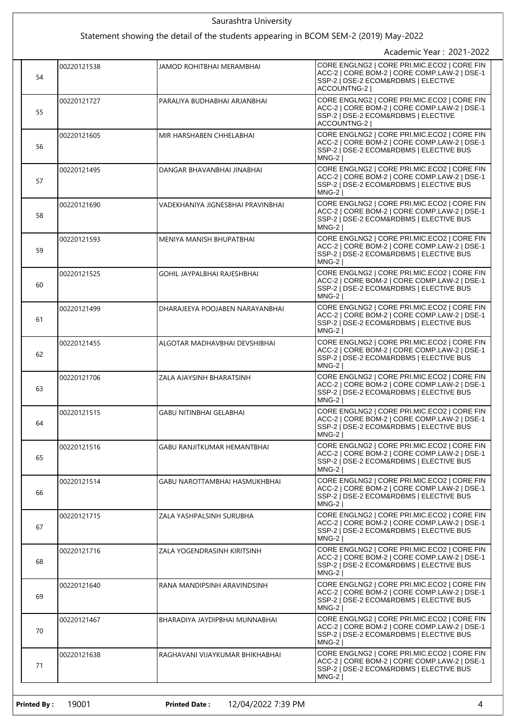|    |             | Saurashtra University                                                                |                                                                                                                                                              |
|----|-------------|--------------------------------------------------------------------------------------|--------------------------------------------------------------------------------------------------------------------------------------------------------------|
|    |             | Statement showing the detail of the students appearing in BCOM SEM-2 (2019) May-2022 | Academic Year: 2021-2022                                                                                                                                     |
| 54 | 00220121538 | JAMOD ROHITBHAI MERAMBHAI                                                            | CORE ENGLNG2   CORE PRI.MIC.ECO2   CORE FIN<br>ACC-2   CORE BOM-2   CORE COMP.LAW-2   DSE-1<br>SSP-2   DSE-2 ECOM&RDBMS   ELECTIVE<br>ACCOUNTNG-2            |
| 55 | 00220121727 | PARALIYA BUDHABHAI ARJANBHAI                                                         | CORE ENGLNG2   CORE PRI.MIC.ECO2   CORE FIN<br>ACC-2   CORE BOM-2   CORE COMP.LAW-2   DSE-1<br>SSP-2   DSE-2 ECOM&RDBMS   ELECTIVE<br>ACCOUNTNG-2            |
| 56 | 00220121605 | MIR HARSHABEN CHHELABHAI                                                             | CORE ENGLNG2   CORE PRI.MIC.ECO2   CORE FIN<br>ACC-2   CORE BOM-2   CORE COMP.LAW-2   DSE-1<br>SSP-2   DSE-2 ECOM&RDBMS   ELECTIVE BUS<br>MNG-2              |
| 57 | 00220121495 | DANGAR BHAVANBHAI JINABHAI                                                           | CORE ENGLNG2   CORE PRI.MIC.ECO2   CORE FIN<br>ACC-2   CORE BOM-2   CORE COMP.LAW-2   DSE-1<br>SSP-2   DSE-2 ECOM&RDBMS   ELECTIVE BUS<br>$MNG-2$            |
| 58 | 00220121690 | VADEKHANIYA JIGNESBHAI PRAVINBHAI                                                    | CORE ENGLNG2   CORE PRI.MIC.ECO2   CORE FIN<br>ACC-2   CORE BOM-2   CORE COMP.LAW-2   DSE-1<br>SSP-2   DSE-2 ECOM&RDBMS   ELECTIVE BUS<br>$MNG-2$            |
| 59 | 00220121593 | MENIYA MANISH BHUPATBHAI                                                             | CORE ENGLNG2   CORE PRI.MIC.ECO2   CORE FIN<br>ACC-2   CORE BOM-2   CORE COMP.LAW-2   DSE-1<br>SSP-2   DSE-2 ECOM&RDBMS   ELECTIVE BUS<br>MNG-2 <sup>1</sup> |
| 60 | 00220121525 | GOHIL JAYPALBHAI RAJESHBHAI                                                          | CORE ENGLNG2   CORE PRI.MIC.ECO2   CORE FIN<br>ACC-2   CORE BOM-2   CORE COMP.LAW-2   DSE-1<br>SSP-2   DSE-2 ECOM&RDBMS   ELECTIVE BUS<br>$MNG-2$            |
| 61 | 00220121499 | DHARAJEEYA POOJABEN NARAYANBHAI                                                      | CORE ENGLNG2   CORE PRI.MIC.ECO2   CORE FIN<br>ACC-2   CORE BOM-2   CORE COMP.LAW-2   DSE-1<br>SSP-2   DSE-2 ECOM&RDBMS   ELECTIVE BUS<br>MNG-2              |
| 62 | 00220121455 | ALGOTAR MADHAVBHAI DEVSHIBHAI                                                        | CORE ENGLNG2   CORE PRI.MIC.ECO2   CORE FIN<br>ACC-2   CORE BOM-2   CORE COMP.LAW-2   DSE-1<br>SSP-2   DSE-2 ECOM&RDBMS   ELECTIVE BUS<br>MNG-2              |
| 63 | 00220121706 | ZALA AJAYSINH BHARATSINH                                                             | CORE ENGLNG2   CORE PRI.MIC.ECO2   CORE FIN<br>ACC-2   CORE BOM-2   CORE COMP.LAW-2   DSE-1<br>SSP-2   DSE-2 ECOM&RDBMS   ELECTIVE BUS<br>MNG-2              |
| 64 | 00220121515 | GABU NITINBHAI GELABHAI                                                              | CORE ENGLNG2   CORE PRI.MIC.ECO2   CORE FIN<br>ACC-2   CORE BOM-2   CORE COMP.LAW-2   DSE-1<br>SSP-2   DSE-2 ECOM&RDBMS   ELECTIVE BUS<br>$MNG-2$            |
| 65 | 00220121516 | GABU RANJITKUMAR HEMANTBHAI                                                          | CORE ENGLNG2   CORE PRI.MIC.ECO2   CORE FIN<br>ACC-2   CORE BOM-2   CORE COMP.LAW-2   DSE-1<br>SSP-2   DSE-2 ECOM&RDBMS   ELECTIVE BUS<br>MNG-2              |
| 66 | 00220121514 | GABU NAROTTAMBHAI HASMUKHBHAI                                                        | CORE ENGLNG2   CORE PRI.MIC.ECO2   CORE FIN<br>ACC-2   CORE BOM-2   CORE COMP.LAW-2   DSE-1<br>SSP-2   DSE-2 ECOM&RDBMS   ELECTIVE BUS<br>$MNG-2$            |
| 67 | 00220121715 | ZALA YASHPALSINH SURUBHA                                                             | CORE ENGLNG2   CORE PRI.MIC.ECO2   CORE FIN<br>ACC-2   CORE BOM-2   CORE COMP.LAW-2   DSE-1<br>SSP-2   DSE-2 ECOM&RDBMS   ELECTIVE BUS<br>$MNG-2$            |
| 68 | 00220121716 | ZALA YOGENDRASINH KIRITSINH                                                          | CORE ENGLNG2   CORE PRI.MIC.ECO2   CORE FIN<br>ACC-2   CORE BOM-2   CORE COMP.LAW-2   DSE-1<br>SSP-2   DSE-2 ECOM&RDBMS   ELECTIVE BUS<br>MNG-2              |
| 69 | 00220121640 | RANA MANDIPSINH ARAVINDSINH                                                          | CORE ENGLNG2   CORE PRI.MIC.ECO2   CORE FIN<br>ACC-2   CORE BOM-2   CORE COMP.LAW-2   DSE-1<br>SSP-2   DSE-2 ECOM&RDBMS   ELECTIVE BUS<br>$MNG-2$            |
| 70 | 00220121467 | BHARADIYA JAYDIPBHAI MUNNABHAI                                                       | CORE ENGLNG2   CORE PRI.MIC.ECO2   CORE FIN<br>ACC-2   CORE BOM-2   CORE COMP.LAW-2   DSE-1<br>SSP-2   DSE-2 ECOM&RDBMS   ELECTIVE BUS<br>$MNG-2$            |
| 71 | 00220121638 | RAGHAVANI VIJAYKUMAR BHIKHABHAI                                                      | CORE ENGLNG2   CORE PRI.MIC.ECO2   CORE FIN<br>ACC-2   CORE BOM-2   CORE COMP.LAW-2   DSE-1<br>SSP-2   DSE-2 ECOM&RDBMS   ELECTIVE BUS<br>MNG-2              |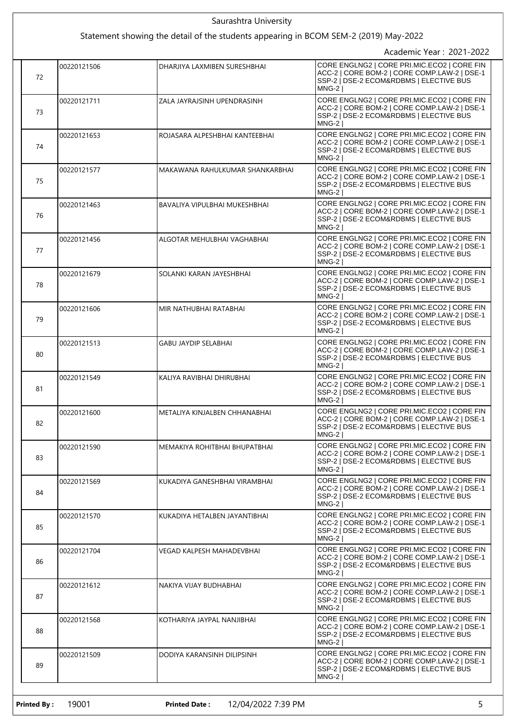|    |             | Saurashtra University                                                                |                                                                                                                                                          |
|----|-------------|--------------------------------------------------------------------------------------|----------------------------------------------------------------------------------------------------------------------------------------------------------|
|    |             | Statement showing the detail of the students appearing in BCOM SEM-2 (2019) May-2022 | Academic Year: 2021-2022                                                                                                                                 |
| 72 | 00220121506 | DHARJIYA LAXMIBEN SURESHBHAI                                                         | CORE ENGLNG2   CORE PRI.MIC.ECO2   CORE FIN<br>ACC-2   CORE BOM-2   CORE COMP.LAW-2   DSE-1<br>SSP-2   DSE-2 ECOM&RDBMS   ELECTIVE BUS<br><b>MNG-21</b>  |
| 73 | 00220121711 | ZALA JAYRAJSINH UPENDRASINH                                                          | CORE ENGLNG2   CORE PRI.MIC.ECO2   CORE FIN<br>ACC-2   CORE BOM-2   CORE COMP.LAW-2   DSE-1<br>SSP-2   DSE-2 ECOM&RDBMS   ELECTIVE BUS<br>$MNG-2$        |
| 74 | 00220121653 | ROJASARA ALPESHBHAI KANTEEBHAI                                                       | CORE ENGLNG2   CORE PRI.MIC.ECO2   CORE FIN<br>ACC-2   CORE BOM-2   CORE COMP.LAW-2   DSE-1<br>SSP-2   DSE-2 ECOM&RDBMS   ELECTIVE BUS<br>$MNG-2$        |
| 75 | 00220121577 | MAKAWANA RAHULKUMAR SHANKARBHAI                                                      | CORE ENGLNG2   CORE PRI.MIC.ECO2   CORE FIN<br>ACC-2   CORE BOM-2   CORE COMP.LAW-2   DSE-1<br>SSP-2   DSE-2 ECOM&RDBMS   ELECTIVE BUS<br><b>MNG-21</b>  |
| 76 | 00220121463 | <b>BAVALIYA VIPULBHAI MUKESHBHAI</b>                                                 | CORE ENGLNG2   CORE PRI.MIC.ECO2   CORE FIN<br>ACC-2   CORE BOM-2   CORE COMP.LAW-2   DSE-1<br>SSP-2   DSE-2 ECOM&RDBMS   ELECTIVE BUS<br>$MNG-2$        |
| 77 | 00220121456 | ALGOTAR MEHULBHAI VAGHABHAI                                                          | CORE ENGLNG2   CORE PRI.MIC.ECO2   CORE FIN<br>ACC-2   CORE BOM-2   CORE COMP.LAW-2   DSE-1<br>SSP-2   DSE-2 ECOM&RDBMS   ELECTIVE BUS<br>$MNG-2$        |
| 78 | 00220121679 | SOLANKI KARAN JAYESHBHAI                                                             | CORE ENGLNG2   CORE PRI.MIC.ECO2   CORE FIN<br>ACC-2   CORE BOM-2   CORE COMP.LAW-2   DSE-1<br>SSP-2   DSE-2 ECOM&RDBMS   ELECTIVE BUS<br>$MNG-2$        |
| 79 | 00220121606 | MIR NATHUBHAI RATABHAI                                                               | CORE ENGLNG2   CORE PRI.MIC.ECO2   CORE FIN<br>ACC-2   CORE BOM-2   CORE COMP.LAW-2   DSE-1<br>SSP-2   DSE-2 ECOM&RDBMS   ELECTIVE BUS<br>$MNG-2$        |
| 80 | 00220121513 | <b>GABU JAYDIP SELABHAI</b>                                                          | CORE ENGLNG2   CORE PRI.MIC.ECO2   CORE FIN<br>ACC-2   CORE BOM-2   CORE COMP.LAW-2   DSE-1<br>SSP-2   DSE-2 ECOM&RDBMS   ELECTIVE BUS<br>$MNG-2$        |
| 81 | 00220121549 | KALIYA RAVIBHAI DHIRUBHAI                                                            | CORE ENGLNG2   CORE PRI.MIC.ECO2   CORE FIN<br>ACC-2   CORE BOM-2   CORE COMP.LAW-2   DSE-1<br>SSP-2   DSE-2 ECOM&RDBMS   ELECTIVE BUS<br>MNG-2          |
| 82 | 00220121600 | METALIYA KINJALBEN CHHANABHAI                                                        | CORE ENGLNG2   CORE PRI.MIC.ECO2   CORE FIN<br>ACC-2   CORE BOM-2   CORE COMP.LAW-2   DSE-1<br>SSP-2   DSE-2 ECOM&RDBMS   ELECTIVE BUS<br><b>MNG-2  </b> |
| 83 | 00220121590 | MEMAKIYA ROHITBHAI BHUPATBHAI                                                        | CORE ENGLNG2   CORE PRI.MIC.ECO2   CORE FIN<br>ACC-2   CORE BOM-2   CORE COMP.LAW-2   DSE-1<br>SSP-2   DSE-2 ECOM&RDBMS   ELECTIVE BUS<br><b>MNG-21</b>  |
| 84 | 00220121569 | KUKADIYA GANESHBHAI VIRAMBHAI                                                        | CORE ENGLNG2   CORE PRI.MIC.ECO2   CORE FIN<br>ACC-2   CORE BOM-2   CORE COMP.LAW-2   DSE-1<br>SSP-2   DSE-2 ECOM&RDBMS   ELECTIVE BUS<br><b>MNG-21</b>  |
| 85 | 00220121570 | KUKADIYA HETALBEN JAYANTIBHAI                                                        | CORE ENGLNG2   CORE PRI.MIC.ECO2   CORE FIN<br>ACC-2   CORE BOM-2   CORE COMP.LAW-2   DSE-1<br>SSP-2   DSE-2 ECOM&RDBMS   ELECTIVE BUS<br><b>MNG-2  </b> |
| 86 | 00220121704 | VEGAD KALPESH MAHADEVBHAI                                                            | CORE ENGLNG2   CORE PRI.MIC.ECO2   CORE FIN<br>ACC-2   CORE BOM-2   CORE COMP.LAW-2   DSE-1<br>SSP-2   DSE-2 ECOM&RDBMS   ELECTIVE BUS<br><b>MNG-21</b>  |
| 87 | 00220121612 | NAKIYA VIJAY BUDHABHAI                                                               | CORE ENGLNG2   CORE PRI.MIC.ECO2   CORE FIN<br>ACC-2   CORE BOM-2   CORE COMP.LAW-2   DSE-1<br>SSP-2   DSE-2 ECOM&RDBMS   ELECTIVE BUS<br>$MNG-2$        |
| 88 | 00220121568 | KOTHARIYA JAYPAL NANJIBHAI                                                           | CORE ENGLNG2   CORE PRI.MIC.ECO2   CORE FIN<br>ACC-2   CORE BOM-2   CORE COMP.LAW-2   DSE-1<br>SSP-2   DSE-2 ECOM&RDBMS   ELECTIVE BUS<br><b>MNG-2  </b> |
| 89 | 00220121509 | DODIYA KARANSINH DILIPSINH                                                           | CORE ENGLNG2   CORE PRI.MIC.ECO2   CORE FIN<br>ACC-2   CORE BOM-2   CORE COMP.LAW-2   DSE-1<br>SSP-2   DSE-2 ECOM&RDBMS   ELECTIVE BUS<br><b>MNG-21</b>  |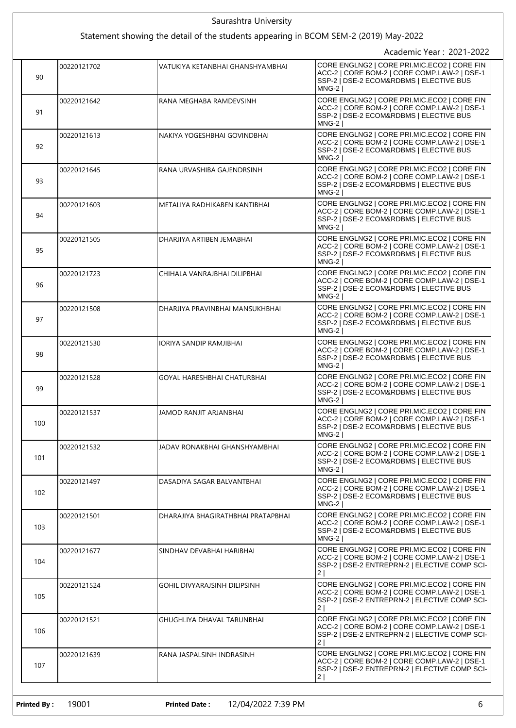| Saurashtra University                                                                                            |             |                                    |                                                                                                                                                                |  |
|------------------------------------------------------------------------------------------------------------------|-------------|------------------------------------|----------------------------------------------------------------------------------------------------------------------------------------------------------------|--|
| Statement showing the detail of the students appearing in BCOM SEM-2 (2019) May-2022<br>Academic Year: 2021-2022 |             |                                    |                                                                                                                                                                |  |
| 90                                                                                                               | 00220121702 | VATUKIYA KETANBHAI GHANSHYAMBHAI   | CORE ENGLNG2   CORE PRI.MIC.ECO2   CORE FIN<br>ACC-2   CORE BOM-2   CORE COMP.LAW-2   DSE-1<br>SSP-2   DSE-2 ECOM&RDBMS   ELECTIVE BUS<br>$MNG-2$              |  |
| 91                                                                                                               | 00220121642 | RANA MEGHABA RAMDEVSINH            | CORE ENGLNG2   CORE PRI.MIC.ECO2   CORE FIN<br>ACC-2   CORE BOM-2   CORE COMP.LAW-2   DSE-1<br>SSP-2   DSE-2 ECOM&RDBMS   ELECTIVE BUS<br>$MNG-2$              |  |
| 92                                                                                                               | 00220121613 | NAKIYA YOGESHBHAI GOVINDBHAI       | CORE ENGLNG2   CORE PRI.MIC.ECO2   CORE FIN<br>ACC-2   CORE BOM-2   CORE COMP.LAW-2   DSE-1<br>SSP-2   DSE-2 ECOM&RDBMS   ELECTIVE BUS<br>$MNG-2$              |  |
| 93                                                                                                               | 00220121645 | RANA URVASHIBA GAJENDRSINH         | CORE ENGLNG2   CORE PRI.MIC.ECO2   CORE FIN<br>ACC-2   CORE BOM-2   CORE COMP.LAW-2   DSE-1<br>SSP-2   DSE-2 ECOM&RDBMS   ELECTIVE BUS<br>$MNG-2$              |  |
| 94                                                                                                               | 00220121603 | METALIYA RADHIKABEN KANTIBHAI      | CORE ENGLNG2   CORE PRI.MIC.ECO2   CORE FIN<br>ACC-2   CORE BOM-2   CORE COMP.LAW-2   DSE-1<br>SSP-2   DSE-2 ECOM&RDBMS   ELECTIVE BUS<br><b>MNG-21</b>        |  |
| 95                                                                                                               | 00220121505 | DHARJIYA ARTIBEN JEMABHAI          | CORE ENGLNG2   CORE PRI.MIC.ECO2   CORE FIN<br>ACC-2   CORE BOM-2   CORE COMP.LAW-2   DSE-1<br>SSP-2   DSE-2 ECOM&RDBMS   ELECTIVE BUS<br>$MNG-2$              |  |
| 96                                                                                                               | 00220121723 | CHIHALA VANRAJBHAI DILIPBHAI       | CORE ENGLNG2   CORE PRI.MIC.ECO2   CORE FIN<br>ACC-2   CORE BOM-2   CORE COMP.LAW-2   DSE-1<br>SSP-2   DSE-2 ECOM&RDBMS   ELECTIVE BUS<br><b>MNG-21</b>        |  |
| 97                                                                                                               | 00220121508 | DHARJIYA PRAVINBHAI MANSUKHBHAI    | CORE ENGLNG2   CORE PRI.MIC.ECO2   CORE FIN<br>ACC-2   CORE BOM-2   CORE COMP.LAW-2   DSE-1<br>SSP-2   DSE-2 ECOM&RDBMS   ELECTIVE BUS<br>$MNG-2$              |  |
| 98                                                                                                               | 00220121530 | IORIYA SANDIP RAMJIBHAI            | CORE ENGLNG2   CORE PRI.MIC.ECO2   CORE FIN<br>ACC-2   CORE BOM-2   CORE COMP.LAW-2   DSE-1<br>SSP-2   DSE-2 ECOM&RDBMS   ELECTIVE BUS<br>$MNG-2$              |  |
| 99                                                                                                               | 00220121528 | <b>GOYAL HARESHBHAI CHATURBHAI</b> | CORE ENGLNG2   CORE PRI.MIC.ECO2   CORE FIN<br>ACC-2   CORE BOM-2   CORE COMP.LAW-2   DSE-1<br>SSP-2   DSE-2 ECOM&RDBMS   ELECTIVE BUS<br>MNG-2                |  |
| 100                                                                                                              | 00220121537 | JAMOD RANJIT ARJANBHAI             | CORE ENGLNG2   CORE PRI.MIC.ECO2   CORE FIN<br>ACC-2   CORE BOM-2   CORE COMP.LAW-2   DSE-1<br>SSP-2   DSE-2 ECOM&RDBMS   ELECTIVE BUS<br><b>MNG-21</b>        |  |
| 101                                                                                                              | 00220121532 | JADAV RONAKBHAI GHANSHYAMBHAI      | CORE ENGLNG2   CORE PRI.MIC.ECO2   CORE FIN<br>ACC-2   CORE BOM-2   CORE COMP.LAW-2   DSE-1<br>SSP-2   DSE-2 ECOM&RDBMS   ELECTIVE BUS<br>$MNG-2$              |  |
| 102                                                                                                              | 00220121497 | DASADIYA SAGAR BALVANTBHAI         | CORE ENGLNG2   CORE PRI.MIC.ECO2   CORE FIN<br>ACC-2   CORE BOM-2   CORE COMP.LAW-2   DSE-1<br>SSP-2   DSE-2 ECOM&RDBMS   ELECTIVE BUS<br>$MNG-2$              |  |
| 103                                                                                                              | 00220121501 | DHARAJIYA BHAGIRATHBHAI PRATAPBHAI | CORE ENGLNG2   CORE PRI.MIC.ECO2   CORE FIN<br>ACC-2   CORE BOM-2   CORE COMP.LAW-2   DSE-1<br>SSP-2   DSE-2 ECOM&RDBMS   ELECTIVE BUS<br>$MNG-2$              |  |
| 104                                                                                                              | 00220121677 | SINDHAV DEVABHAI HARIBHAI          | CORE ENGLNG2   CORE PRI.MIC.ECO2   CORE FIN<br>ACC-2   CORE BOM-2   CORE COMP.LAW-2   DSE-1<br>SSP-2   DSE-2 ENTREPRN-2   ELECTIVE COMP SCI-<br>2 <sub>1</sub> |  |
| 105                                                                                                              | 00220121524 | GOHIL DIVYARAJSINH DILIPSINH       | CORE ENGLNG2   CORE PRI.MIC.ECO2   CORE FIN<br>ACC-2   CORE BOM-2   CORE COMP.LAW-2   DSE-1<br>SSP-2   DSE-2 ENTREPRN-2   ELECTIVE COMP SCI-<br>2              |  |
| 106                                                                                                              | 00220121521 | GHUGHLIYA DHAVAL TARUNBHAI         | CORE ENGLNG2   CORE PRI.MIC.ECO2   CORE FIN<br>ACC-2   CORE BOM-2   CORE COMP.LAW-2   DSE-1<br>SSP-2   DSE-2 ENTREPRN-2   ELECTIVE COMP SCI-<br>2              |  |
| 107                                                                                                              | 00220121639 | RANA JASPALSINH INDRASINH          | CORE ENGLNG2   CORE PRI.MIC.ECO2   CORE FIN<br>ACC-2   CORE BOM-2   CORE COMP.LAW-2   DSE-1<br>SSP-2   DSE-2 ENTREPRN-2   ELECTIVE COMP SCI-<br>2              |  |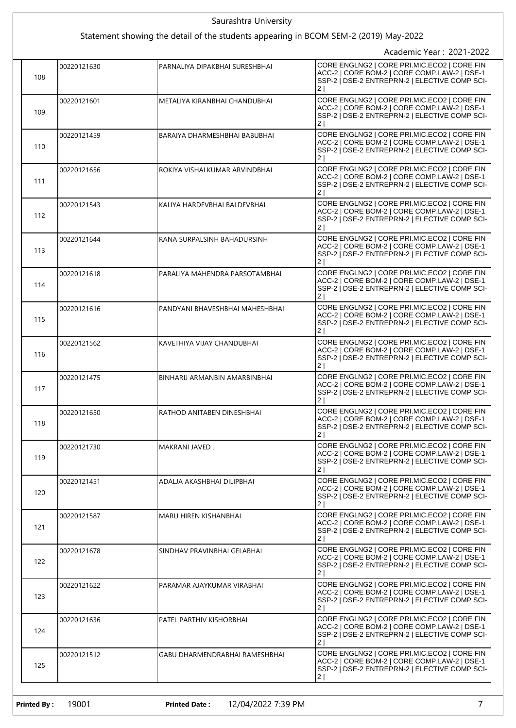|     |             | Saurashtra University                                                                |                                                                                                                                                    |
|-----|-------------|--------------------------------------------------------------------------------------|----------------------------------------------------------------------------------------------------------------------------------------------------|
|     |             | Statement showing the detail of the students appearing in BCOM SEM-2 (2019) May-2022 | Academic Year: 2021-2022                                                                                                                           |
| 108 | 00220121630 | PARNALIYA DIPAKBHAI SURESHBHAI                                                       | CORE ENGLNG2   CORE PRI.MIC.ECO2   CORE FIN<br>ACC-2   CORE BOM-2   CORE COMP.LAW-2   DSE-1<br>SSP-2   DSE-2 ENTREPRN-2   ELECTIVE COMP SCI-<br> 2 |
| 109 | 00220121601 | METALIYA KIRANBHAI CHANDUBHAI                                                        | CORE ENGLNG2   CORE PRI.MIC.ECO2   CORE FIN<br>ACC-2   CORE BOM-2   CORE COMP.LAW-2   DSE-1<br>SSP-2   DSE-2 ENTREPRN-2   ELECTIVE COMP SCI-<br> 2 |
| 110 | 00220121459 | BARAIYA DHARMESHBHAI BABUBHAI                                                        | CORE ENGLNG2   CORE PRI.MIC.ECO2   CORE FIN<br>ACC-2   CORE BOM-2   CORE COMP.LAW-2   DSE-1<br>SSP-2   DSE-2 ENTREPRN-2   ELECTIVE COMP SCI-<br> 2 |
| 111 | 00220121656 | ROKIYA VISHALKUMAR ARVINDBHAI                                                        | CORE ENGLNG2   CORE PRI.MIC.ECO2   CORE FIN<br>ACC-2   CORE BOM-2   CORE COMP.LAW-2   DSE-1<br>SSP-2   DSE-2 ENTREPRN-2   ELECTIVE COMP SCI-<br> 2 |
| 112 | 00220121543 | KALIYA HARDEVBHAI BALDEVBHAI                                                         | CORE ENGLNG2   CORE PRI.MIC.ECO2   CORE FIN<br>ACC-2   CORE BOM-2   CORE COMP.LAW-2   DSE-1<br>SSP-2   DSE-2 ENTREPRN-2   ELECTIVE COMP SCI-<br> 2 |
| 113 | 00220121644 | RANA SURPALSINH BAHADURSINH                                                          | CORE ENGLNG2   CORE PRI.MIC.ECO2   CORE FIN<br>ACC-2   CORE BOM-2   CORE COMP.LAW-2   DSE-1<br>SSP-2   DSE-2 ENTREPRN-2   ELECTIVE COMP SCI-<br> 2 |
| 114 | 00220121618 | PARALIYA MAHENDRA PARSOTAMBHAI                                                       | CORE ENGLNG2   CORE PRI.MIC.ECO2   CORE FIN<br>ACC-2   CORE BOM-2   CORE COMP.LAW-2   DSE-1<br>SSP-2   DSE-2 ENTREPRN-2   ELECTIVE COMP SCI-<br> 2 |
| 115 | 00220121616 | PANDYANI BHAVESHBHAI MAHESHBHAI                                                      | CORE ENGLNG2   CORE PRI.MIC.ECO2   CORE FIN<br>ACC-2   CORE BOM-2   CORE COMP.LAW-2   DSE-1<br>SSP-2   DSE-2 ENTREPRN-2   ELECTIVE COMP SCI-<br> 2 |
| 116 | 00220121562 | KAVETHIYA VIJAY CHANDUBHAI                                                           | CORE ENGLNG2   CORE PRI.MIC.ECO2   CORE FIN<br>ACC-2   CORE BOM-2   CORE COMP.LAW-2   DSE-1<br>SSP-2   DSE-2 ENTREPRN-2   ELECTIVE COMP SCI-<br>21 |
| 117 | 00220121475 | BINHARIJ ARMANBIN AMARBINBHAI                                                        | CORE ENGLNG2   CORE PRI.MIC.ECO2   CORE FIN<br>ACC-2   CORE BOM-2   CORE COMP.LAW-2   DSE-1<br>SSP-2   DSE-2 ENTREPRN-2   ELECTIVE COMP SCI-<br>2  |
| 118 | 00220121650 | RATHOD ANITABEN DINESHBHAI                                                           | CORE ENGLNG2   CORE PRI.MIC.ECO2   CORE FIN<br>ACC-2   CORE BOM-2   CORE COMP.LAW-2   DSE-1<br>SSP-2   DSE-2 ENTREPRN-2   ELECTIVE COMP SCI-<br> 2 |
| 119 | 00220121730 | MAKRANI JAVED .                                                                      | CORE ENGLNG2   CORE PRI.MIC.ECO2   CORE FIN<br>ACC-2   CORE BOM-2   CORE COMP.LAW-2   DSE-1<br>SSP-2   DSE-2 ENTREPRN-2   ELECTIVE COMP SCI-<br> 2 |
| 120 | 00220121451 | ADALJA AKASHBHAI DILIPBHAI                                                           | CORE ENGLNG2   CORE PRI.MIC.ECO2   CORE FIN<br>ACC-2   CORE BOM-2   CORE COMP.LAW-2   DSE-1<br>SSP-2   DSE-2 ENTREPRN-2   ELECTIVE COMP SCI-<br> 2 |
| 121 | 00220121587 | <b>MARU HIREN KISHANBHAI</b>                                                         | CORE ENGLNG2   CORE PRI.MIC.ECO2   CORE FIN<br>ACC-2   CORE BOM-2   CORE COMP.LAW-2   DSE-1<br>SSP-2   DSE-2 ENTREPRN-2   ELECTIVE COMP SCI-<br> 2 |
| 122 | 00220121678 | SINDHAV PRAVINBHAI GELABHAI                                                          | CORE ENGLNG2   CORE PRI.MIC.ECO2   CORE FIN<br>ACC-2   CORE BOM-2   CORE COMP.LAW-2   DSE-1<br>SSP-2   DSE-2 ENTREPRN-2   ELECTIVE COMP SCI-<br> 2 |
| 123 | 00220121622 | PARAMAR AJAYKUMAR VIRABHAI                                                           | CORE ENGLNG2   CORE PRI.MIC.ECO2   CORE FIN<br>ACC-2   CORE BOM-2   CORE COMP.LAW-2   DSE-1<br>SSP-2   DSE-2 ENTREPRN-2   ELECTIVE COMP SCI-<br> 2 |
| 124 | 00220121636 | PATEL PARTHIV KISHORBHAI                                                             | CORE ENGLNG2   CORE PRI.MIC.ECO2   CORE FIN<br>ACC-2   CORE BOM-2   CORE COMP.LAW-2   DSE-1<br>SSP-2   DSE-2 ENTREPRN-2   ELECTIVE COMP SCI-<br> 2 |
| 125 | 00220121512 | GABU DHARMENDRABHAI RAMESHBHAI                                                       | CORE ENGLNG2   CORE PRI.MIC.ECO2   CORE FIN<br>ACC-2   CORE BOM-2   CORE COMP.LAW-2   DSE-1<br>SSP-2   DSE-2 ENTREPRN-2   ELECTIVE COMP SCI-<br> 2 |

**Printed By :** 19001 **Printed Date :** 12/04/2022 7:39 PM 7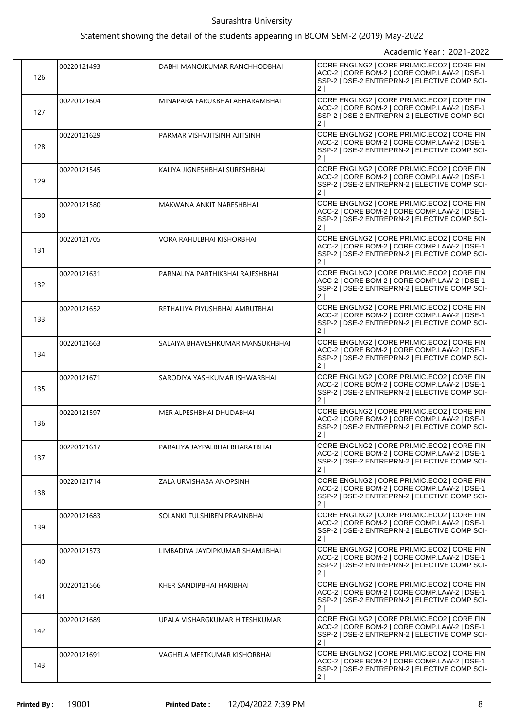|     |             | Saurashtra University                                                                |                                                                                                                                                                |
|-----|-------------|--------------------------------------------------------------------------------------|----------------------------------------------------------------------------------------------------------------------------------------------------------------|
|     |             | Statement showing the detail of the students appearing in BCOM SEM-2 (2019) May-2022 | Academic Year: 2021-2022                                                                                                                                       |
| 126 | 00220121493 | DABHI MANOJKUMAR RANCHHODBHAI                                                        | CORE ENGLNG2   CORE PRI.MIC.ECO2   CORE FIN<br>ACC-2   CORE BOM-2   CORE COMP.LAW-2   DSE-1<br>SSP-2   DSE-2 ENTREPRN-2   ELECTIVE COMP SCI-<br>2 <sub>1</sub> |
| 127 | 00220121604 | MINAPARA FARUKBHAI ABHARAMBHAI                                                       | CORE ENGLNG2   CORE PRI.MIC.ECO2   CORE FIN<br>ACC-2   CORE BOM-2   CORE COMP.LAW-2   DSE-1<br>SSP-2   DSE-2 ENTREPRN-2   ELECTIVE COMP SCI-<br> 2             |
| 128 | 00220121629 | PARMAR VISHVJITSINH AJITSINH                                                         | CORE ENGLNG2   CORE PRI.MIC.ECO2   CORE FIN<br>ACC-2   CORE BOM-2   CORE COMP.LAW-2   DSE-1<br>SSP-2   DSE-2 ENTREPRN-2   ELECTIVE COMP SCI-<br> 2             |
| 129 | 00220121545 | KALIYA JIGNESHBHAI SURESHBHAI                                                        | CORE ENGLNG2   CORE PRI.MIC.ECO2   CORE FIN<br>ACC-2   CORE BOM-2   CORE COMP.LAW-2   DSE-1<br>SSP-2   DSE-2 ENTREPRN-2   ELECTIVE COMP SCI-<br> 2             |
| 130 | 00220121580 | MAKWANA ANKIT NARESHBHAI                                                             | CORE ENGLNG2   CORE PRI.MIC.ECO2   CORE FIN<br>ACC-2   CORE BOM-2   CORE COMP.LAW-2   DSE-1<br>SSP-2   DSE-2 ENTREPRN-2   ELECTIVE COMP SCI-<br> 2             |
| 131 | 00220121705 | VORA RAHULBHAI KISHORBHAI                                                            | CORE ENGLNG2   CORE PRI.MIC.ECO2   CORE FIN<br>ACC-2   CORE BOM-2   CORE COMP.LAW-2   DSE-1<br>SSP-2   DSE-2 ENTREPRN-2   ELECTIVE COMP SCI-<br> 2             |
| 132 | 00220121631 | PARNALIYA PARTHIKBHAI RAJESHBHAI                                                     | CORE ENGLNG2   CORE PRI.MIC.ECO2   CORE FIN<br>ACC-2   CORE BOM-2   CORE COMP.LAW-2   DSE-1<br>SSP-2   DSE-2 ENTREPRN-2   ELECTIVE COMP SCI-<br> 2             |
| 133 | 00220121652 | RETHALIYA PIYUSHBHAI AMRUTBHAI                                                       | CORE ENGLNG2   CORE PRI.MIC.ECO2   CORE FIN<br>ACC-2   CORE BOM-2   CORE COMP.LAW-2   DSE-1<br>SSP-2   DSE-2 ENTREPRN-2   ELECTIVE COMP SCI-<br> 2             |
| 134 | 00220121663 | SALAIYA BHAVESHKUMAR MANSUKHBHAI                                                     | CORE ENGLNG2   CORE PRI.MIC.ECO2   CORE FIN<br>ACC-2   CORE BOM-2   CORE COMP.LAW-2   DSE-1<br>SSP-2   DSE-2 ENTREPRN-2   ELECTIVE COMP SCI-<br>21             |
| 135 | 00220121671 | SARODIYA YASHKUMAR ISHWARBHAI                                                        | CORE ENGLNG2   CORE PRI.MIC.ECO2   CORE FIN<br>ACC-2   CORE BOM-2   CORE COMP.LAW-2   DSE-1<br>SSP-2   DSE-2 ENTREPRN-2   ELECTIVE COMP SCI-<br>2              |
| 136 | 00220121597 | MER ALPESHBHAI DHUDABHAI                                                             | CORE ENGLNG2   CORE PRI.MIC.ECO2   CORE FIN<br>ACC-2   CORE BOM-2   CORE COMP.LAW-2   DSE-1<br>SSP-2   DSE-2 ENTREPRN-2   ELECTIVE COMP SCI-<br> 2             |
| 137 | 00220121617 | PARALIYA JAYPALBHAI BHARATBHAI                                                       | CORE ENGLNG2   CORE PRI.MIC.ECO2   CORE FIN<br>ACC-2   CORE BOM-2   CORE COMP.LAW-2   DSE-1<br>SSP-2   DSE-2 ENTREPRN-2   ELECTIVE COMP SCI-<br> 2             |
| 138 | 00220121714 | ZALA URVISHABA ANOPSINH                                                              | CORE ENGLNG2   CORE PRI.MIC.ECO2   CORE FIN<br>ACC-2   CORE BOM-2   CORE COMP.LAW-2   DSE-1<br>SSP-2   DSE-2 ENTREPRN-2   ELECTIVE COMP SCI-<br> 2             |
| 139 | 00220121683 | SOLANKI TULSHIBEN PRAVINBHAI                                                         | CORE ENGLNG2   CORE PRI.MIC.ECO2   CORE FIN<br>ACC-2   CORE BOM-2   CORE COMP.LAW-2   DSE-1<br>SSP-2   DSE-2 ENTREPRN-2   ELECTIVE COMP SCI-<br> 2             |
| 140 | 00220121573 | LIMBADIYA JAYDIPKUMAR SHAMJIBHAI                                                     | CORE ENGLNG2   CORE PRI.MIC.ECO2   CORE FIN<br>ACC-2   CORE BOM-2   CORE COMP.LAW-2   DSE-1<br>SSP-2   DSE-2 ENTREPRN-2   ELECTIVE COMP SCI-<br> 2             |
| 141 | 00220121566 | KHER SANDIPBHAI HARIBHAI                                                             | CORE ENGLNG2   CORE PRI.MIC.ECO2   CORE FIN<br>ACC-2   CORE BOM-2   CORE COMP.LAW-2   DSE-1<br>SSP-2   DSE-2 ENTREPRN-2   ELECTIVE COMP SCI-<br> 2             |
| 142 | 00220121689 | UPALA VISHARGKUMAR HITESHKUMAR                                                       | CORE ENGLNG2   CORE PRI.MIC.ECO2   CORE FIN<br>ACC-2   CORE BOM-2   CORE COMP.LAW-2   DSE-1<br>SSP-2   DSE-2 ENTREPRN-2   ELECTIVE COMP SCI-<br> 2             |
| 143 | 00220121691 | VAGHELA MEETKUMAR KISHORBHAI                                                         | CORE ENGLNG2   CORE PRI.MIC.ECO2   CORE FIN<br>ACC-2   CORE BOM-2   CORE COMP.LAW-2   DSE-1<br>SSP-2   DSE-2 ENTREPRN-2   ELECTIVE COMP SCI-<br> 2             |